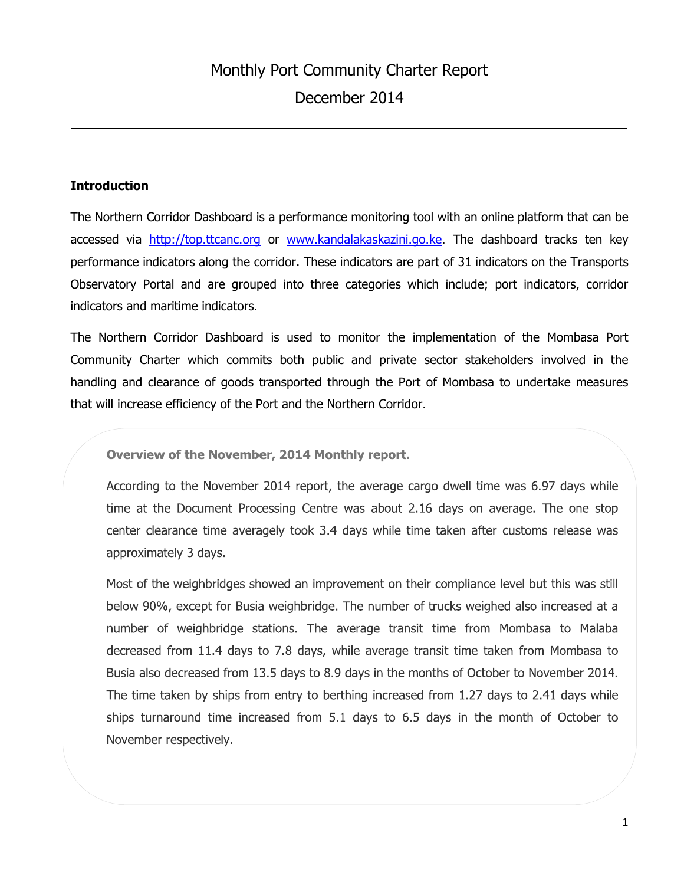#### **Introduction**

The Northern Corridor Dashboard is a performance monitoring tool with an online platform that can be accessed via [http://top.ttcanc.org](http://top.ttcanc.org/) or [www.kandalakaskazini.go.ke.](http://www.kandalakaskazini.go.ke/) The dashboard tracks ten key performance indicators along the corridor. These indicators are part of 31 indicators on the Transports Observatory Portal and are grouped into three categories which include; port indicators, corridor indicators and maritime indicators.

The Northern Corridor Dashboard is used to monitor the implementation of the Mombasa Port Community Charter which commits both public and private sector stakeholders involved in the handling and clearance of goods transported through the Port of Mombasa to undertake measures that will increase efficiency of the Port and the Northern Corridor.

Overview of the November, 2014 Monthly report.

According to the November 2014 report, the average cargo dwell time was 6.97 days while time at the Document Processing Centre was about 2.16 days on average. The one stop center clearance time averagely took 3.4 days while time taken after customs release was approximately 3 days.

Most of the weighbridges showed an improvement on their compliance level but this was still below 90%, except for Busia weighbridge. The number of trucks weighed also increased at a number of weighbridge stations. The average transit time from Mombasa to Malaba decreased from 11.4 days to 7.8 days, while average transit time taken from Mombasa to Busia also decreased from 13.5 days to 8.9 days in the months of October to November 2014. The time taken by ships from entry to berthing increased from 1.27 days to 2.41 days while ships turnaround time increased from 5.1 days to 6.5 days in the month of October to November respectively.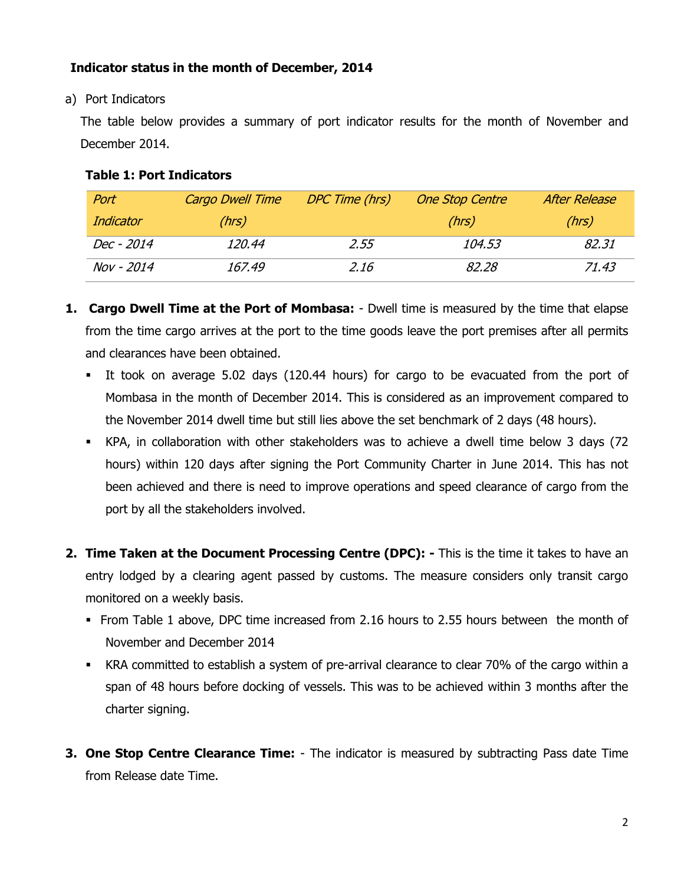# **Indicator status in the month of December, 2014**

a) Port Indicators

The table below provides a summary of port indicator results for the month of November and December 2014.

## **Table 1: Port Indicators**

| Port              | <b>Cargo Dwell Time</b> | DPC Time (hrs) | <b>One Stop Centre</b> | After Release |
|-------------------|-------------------------|----------------|------------------------|---------------|
| Indicator         | (hrs)                   |                | (hrs)                  | (hrs)         |
| Dec - 2014        | 120.44                  | 2.55           | 104.53                 | 82.31         |
| <b>Nov</b> - 2014 | 167.49                  | 2.16           | 82.28                  | 71.43         |

- **1. Cargo Dwell Time at the Port of Mombasa:** Dwell time is measured by the time that elapse from the time cargo arrives at the port to the time goods leave the port premises after all permits and clearances have been obtained.
	- It took on average 5.02 days (120.44 hours) for cargo to be evacuated from the port of Mombasa in the month of December 2014. This is considered as an improvement compared to the November 2014 dwell time but still lies above the set benchmark of 2 days (48 hours).
	- KPA, in collaboration with other stakeholders was to achieve a dwell time below 3 days (72 hours) within 120 days after signing the Port Community Charter in June 2014. This has not been achieved and there is need to improve operations and speed clearance of cargo from the port by all the stakeholders involved.
- **2. Time Taken at the Document Processing Centre (DPC): -** This is the time it takes to have an entry lodged by a clearing agent passed by customs. The measure considers only transit cargo monitored on a weekly basis.
	- From Table 1 above, DPC time increased from 2.16 hours to 2.55 hours between the month of November and December 2014
	- KRA committed to establish a system of pre-arrival clearance to clear 70% of the cargo within a span of 48 hours before docking of vessels. This was to be achieved within 3 months after the charter signing.
- **3. One Stop Centre Clearance Time:** The indicator is measured by subtracting Pass date Time from Release date Time.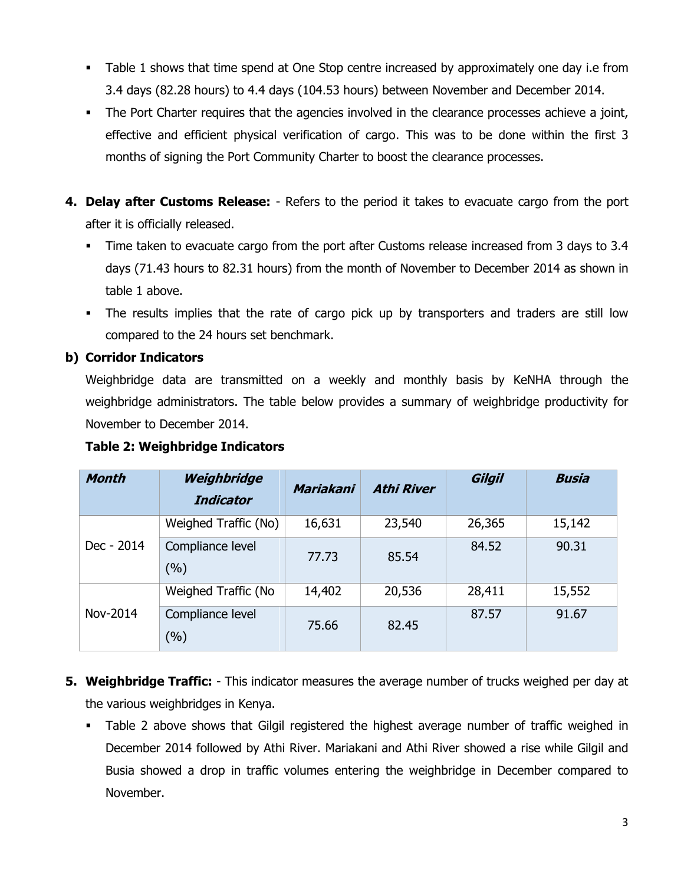- Table 1 shows that time spend at One Stop centre increased by approximately one day i.e from 3.4 days (82.28 hours) to 4.4 days (104.53 hours) between November and December 2014.
- The Port Charter requires that the agencies involved in the clearance processes achieve a joint, effective and efficient physical verification of cargo. This was to be done within the first 3 months of signing the Port Community Charter to boost the clearance processes.
- **4. Delay after Customs Release:** Refers to the period it takes to evacuate cargo from the port after it is officially released.
	- Time taken to evacuate cargo from the port after Customs release increased from 3 days to 3.4 days (71.43 hours to 82.31 hours) from the month of November to December 2014 as shown in table 1 above.
	- The results implies that the rate of cargo pick up by transporters and traders are still low compared to the 24 hours set benchmark.

## **b) Corridor Indicators**

Weighbridge data are transmitted on a weekly and monthly basis by KeNHA through the weighbridge administrators. The table below provides a summary of weighbridge productivity for November to December 2014.

#### **Table 2: Weighbridge Indicators**

| <b>Month</b> | Weighbridge<br><b>Indicator</b> | Mariakani | <b>Athi River</b> | Gilgil | <b>Busia</b> |
|--------------|---------------------------------|-----------|-------------------|--------|--------------|
| Dec - 2014   | Weighed Traffic (No)            | 16,631    | 23,540            | 26,365 | 15,142       |
|              | Compliance level<br>(%)         | 77.73     | 85.54             | 84.52  | 90.31        |
| Nov-2014     | Weighed Traffic (No             | 14,402    | 20,536            | 28,411 | 15,552       |
|              | Compliance level<br>(%)         | 75.66     | 82.45             | 87.57  | 91.67        |

- **5. Weighbridge Traffic:** This indicator measures the average number of trucks weighed per day at the various weighbridges in Kenya.
	- Table 2 above shows that Gilgil registered the highest average number of traffic weighed in December 2014 followed by Athi River. Mariakani and Athi River showed a rise while Gilgil and Busia showed a drop in traffic volumes entering the weighbridge in December compared to November.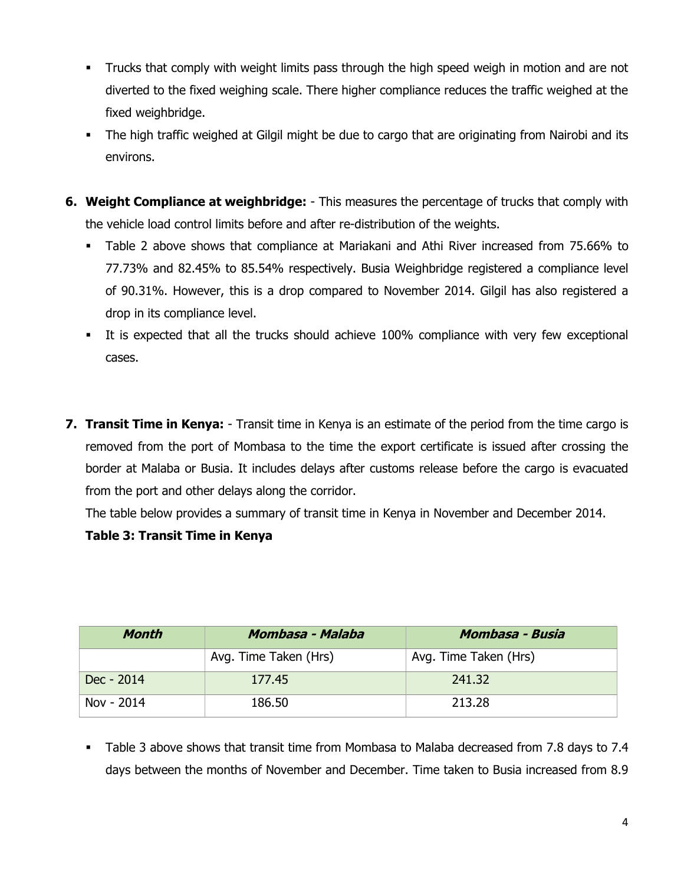- Trucks that comply with weight limits pass through the high speed weigh in motion and are not diverted to the fixed weighing scale. There higher compliance reduces the traffic weighed at the fixed weighbridge.
- The high traffic weighed at Gilgil might be due to cargo that are originating from Nairobi and its environs.
- **6. Weight Compliance at weighbridge:** This measures the percentage of trucks that comply with the vehicle load control limits before and after re-distribution of the weights.
	- Table 2 above shows that compliance at Mariakani and Athi River increased from 75.66% to 77.73% and 82.45% to 85.54% respectively. Busia Weighbridge registered a compliance level of 90.31%. However, this is a drop compared to November 2014. Gilgil has also registered a drop in its compliance level.
	- It is expected that all the trucks should achieve 100% compliance with very few exceptional cases.
- **7. Transit Time in Kenya:** Transit time in Kenya is an estimate of the period from the time cargo is removed from the port of Mombasa to the time the export certificate is issued after crossing the border at Malaba or Busia. It includes delays after customs release before the cargo is evacuated from the port and other delays along the corridor.

The table below provides a summary of transit time in Kenya in November and December 2014.

## **Table 3: Transit Time in Kenya**

| Month      | Mombasa - Malaba      | Mombasa - Busia       |  |
|------------|-----------------------|-----------------------|--|
|            | Avg. Time Taken (Hrs) | Avg. Time Taken (Hrs) |  |
| Dec - 2014 | 177.45                | 241.32                |  |
| Nov - 2014 | 186.50                | 213.28                |  |

 Table 3 above shows that transit time from Mombasa to Malaba decreased from 7.8 days to 7.4 days between the months of November and December. Time taken to Busia increased from 8.9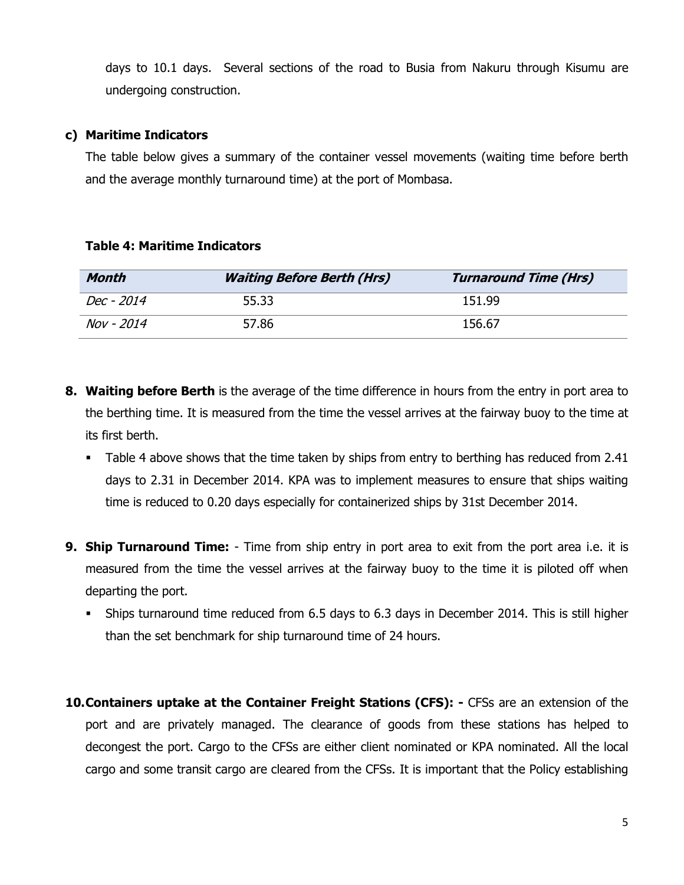days to 10.1 days. Several sections of the road to Busia from Nakuru through Kisumu are undergoing construction.

#### **c) Maritime Indicators**

The table below gives a summary of the container vessel movements (waiting time before berth and the average monthly turnaround time) at the port of Mombasa.

**Table 4: Maritime Indicators**

| Month             | <b>Waiting Before Berth (Hrs)</b> | <b>Turnaround Time (Hrs)</b> |
|-------------------|-----------------------------------|------------------------------|
| <i>Dec - 2014</i> | 55.33                             | 151.99                       |
| Nov - 2014        | 57.86                             | 156.67                       |

- **8. Waiting before Berth** is the average of the time difference in hours from the entry in port area to the berthing time. It is measured from the time the vessel arrives at the fairway buoy to the time at its first berth.
	- Table 4 above shows that the time taken by ships from entry to berthing has reduced from 2.41 days to 2.31 in December 2014. KPA was to implement measures to ensure that ships waiting time is reduced to 0.20 days especially for containerized ships by 31st December 2014.
- **9. Ship Turnaround Time:** Time from ship entry in port area to exit from the port area i.e. it is measured from the time the vessel arrives at the fairway buoy to the time it is piloted off when departing the port.
	- Ships turnaround time reduced from 6.5 days to 6.3 days in December 2014. This is still higher than the set benchmark for ship turnaround time of 24 hours.
- **10.Containers uptake at the Container Freight Stations (CFS): -** CFSs are an extension of the port and are privately managed. The clearance of goods from these stations has helped to decongest the port. Cargo to the CFSs are either client nominated or KPA nominated. All the local cargo and some transit cargo are cleared from the CFSs. It is important that the Policy establishing